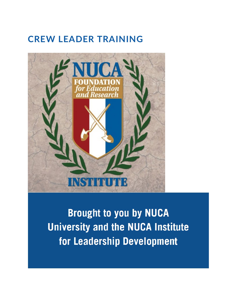# **CREW LEADER TRAINING**



**Brought to you by NUCA University and the NUCA Institute** for Leadership Development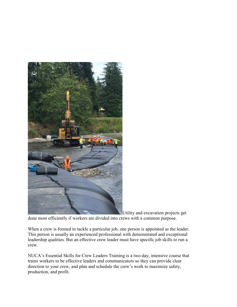

Utility and excavation projects get

done most efficiently if workers are divided into crews with a common purpose.

When a crew is formed to tackle a particular job, one person is appointed as the leader. This person is usually an experienced professional with demonstrated and exceptional leadership qualities. But an effective crew leader must have specific job skills to run a crew.

NUCA's Essential Skills for Crew Leaders Training is a two-day, intensive course that trains workers to be effective leaders and communicators so they can provide clear direction to your crew, and plan and schedule the crew's work to maximize safety, production, and profit.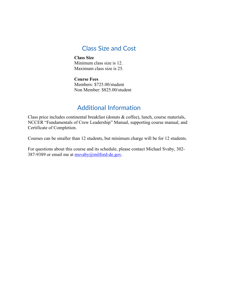### Class Size and Cost

**Class Size** Minimum class size is 12. Maximum class size is 25.

**Course Fees** Members: \$725.00/student Non Member: \$825.00/student

## Additional Information

Class price includes continental breakfast (donuts & coffee), lunch, course materials, NCCER "Fundamentals of Crew Leadership" Manual, supporting course manual, and Certificate of Completion.

Courses can be smaller than 12 students, but minimum charge will be for 12 students.

For questions about this course and its schedule, please contact Michael Svaby, 302- 387-9389 or email me at  $msvaby@milford-de.gov$ .